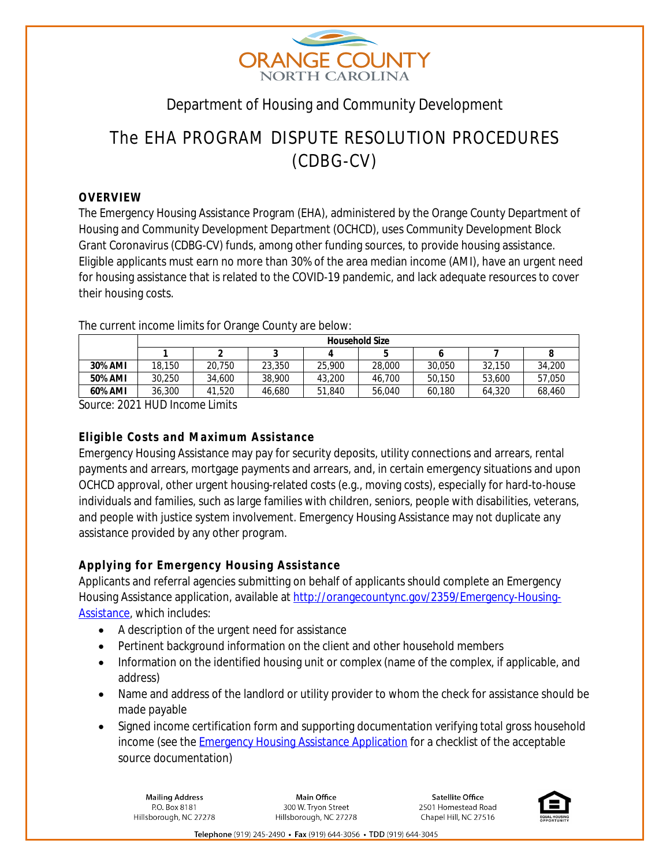

## Department of Housing and Community Development

# The EHA PROGRAM DISPUTE RESOLUTION PROCEDURES (CDBG-CV)

#### **OVERVIEW**

The Emergency Housing Assistance Program (EHA), administered by the Orange County Department of Housing and Community Development Department (OCHCD), uses Community Development Block Grant Coronavirus (CDBG-CV) funds, among other funding sources, to provide housing assistance. Eligible applicants must earn no more than 30% of the area median income (AMI), have an urgent need for housing assistance that is related to the COVID-19 pandemic, and lack adequate resources to cover their housing costs.

|         | <b>Household Size</b> |        |        |              |        |        |        |        |
|---------|-----------------------|--------|--------|--------------|--------|--------|--------|--------|
|         |                       |        |        | $\mathbf{u}$ |        |        |        |        |
| 30% AMI | 18,150                | 20.750 | 23,350 | 25,900       | 28,000 | 30,050 | 32.150 | 34,200 |
| 50% AMI | 30.250                | 34,600 | 38,900 | 43,200       | 46.700 | 50.150 | 53,600 | 57.050 |
| 60% AMI | 36,300                | 41,520 | 46,680 | 51,840       | 56.040 | 60.180 | 64,320 | 68,460 |

The current income limits for Orange County are below:

*Source: 2021 HUD Income Limits*

### **Eligible Costs and Maximum Assistance**

Emergency Housing Assistance may pay for security deposits, utility connections and arrears, rental payments and arrears, mortgage payments and arrears, and, in certain emergency situations and upon OCHCD approval, other urgent housing-related costs (e.g., moving costs), especially for hard-to-house individuals and families, such as large families with children, seniors, people with disabilities, veterans, and people with justice system involvement. Emergency Housing Assistance may not duplicate any assistance provided by any other program.

### **Applying for Emergency Housing Assistance**

Applicants and referral agencies submitting on behalf of applicants should complete an Emergency Housing Assistance application, available at [http://orangecountync.gov/2359/Emergency-Housing-](http://orangecountync.gov/2359/Emergency-Housing-Assistance)Assistance, which includes:

- A description of the urgent need for assistance
- Pertinent background information on the client and other household members
- Information on the identified housing unit or complex (name of the complex, if applicable, and address)
- Name and address of the landlord or utility provider to whom the check for assistance should be made payable
- Signed income certification form and supporting documentation verifying total gross household income (see the **[Emergency Housing Assistance Application](https://www.orangecountync.gov/2359/Emergency-Housing-Assistance)** [for a checklist of the acceptable](https://www.orangecountync.gov/2359/Emergency-Housing-Assistance) [source documentation\)](https://www.orangecountync.gov/2359/Emergency-Housing-Assistance)

**Mailing Address** P.O. Box 8181 Hillsborough, NC 27278

Main Office 300 W. Trvon Street Hillsborough, NC 27278

**Satellite Office** 2501 Homestead Road Chapel Hill, NC 27516